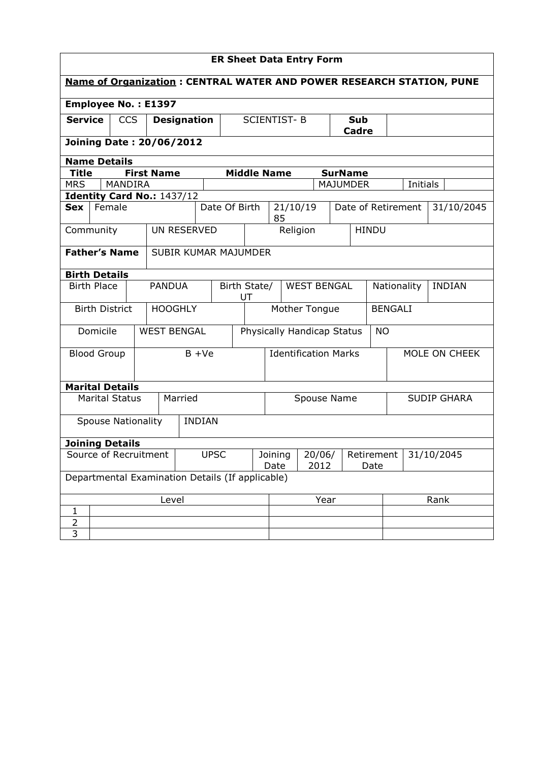| <b>ER Sheet Data Entry Form</b>                                             |                       |               |                    |                            |                                          |                    |                                   |                             |                    |                    |                            |               |                 |                |  |          |  |
|-----------------------------------------------------------------------------|-----------------------|---------------|--------------------|----------------------------|------------------------------------------|--------------------|-----------------------------------|-----------------------------|--------------------|--------------------|----------------------------|---------------|-----------------|----------------|--|----------|--|
| <b>Name of Organization: CENTRAL WATER AND POWER RESEARCH STATION, PUNE</b> |                       |               |                    |                            |                                          |                    |                                   |                             |                    |                    |                            |               |                 |                |  |          |  |
| <b>Employee No.: E1397</b>                                                  |                       |               |                    |                            |                                          |                    |                                   |                             |                    |                    |                            |               |                 |                |  |          |  |
| <b>Service</b><br><b>CCS</b>                                                |                       |               | <b>Designation</b> |                            |                                          | <b>SCIENTIST-B</b> |                                   | Sub<br>Cadre                |                    |                    |                            |               |                 |                |  |          |  |
| <b>Joining Date: 20/06/2012</b>                                             |                       |               |                    |                            |                                          |                    |                                   |                             |                    |                    |                            |               |                 |                |  |          |  |
| <b>Name Details</b>                                                         |                       |               |                    |                            |                                          |                    |                                   |                             |                    |                    |                            |               |                 |                |  |          |  |
| <b>Title</b>                                                                |                       |               |                    | <b>First Name</b>          |                                          |                    |                                   | <b>Middle Name</b>          |                    |                    |                            |               | <b>SurName</b>  |                |  |          |  |
| <b>MRS</b>                                                                  |                       |               | <b>MANDIRA</b>     |                            |                                          |                    |                                   |                             |                    |                    |                            |               | <b>MAJUMDER</b> |                |  | Initials |  |
|                                                                             |                       |               |                    | Identity Card No.: 1437/12 |                                          |                    |                                   |                             |                    |                    |                            |               |                 |                |  |          |  |
| Female<br>Sex                                                               |                       |               |                    |                            | Date Of Birth                            |                    | 21/10/19<br>85                    |                             |                    | Date of Retirement |                            |               |                 | 31/10/2045     |  |          |  |
| Community                                                                   |                       |               |                    | UN RESERVED                |                                          |                    |                                   |                             |                    |                    | Religion                   |               |                 | <b>HINDU</b>   |  |          |  |
| <b>Father's Name</b>                                                        |                       |               |                    | SUBIR KUMAR MAJUMDER       |                                          |                    |                                   |                             |                    |                    |                            |               |                 |                |  |          |  |
| <b>Birth Details</b>                                                        |                       |               |                    |                            |                                          |                    |                                   |                             |                    |                    |                            |               |                 |                |  |          |  |
| <b>Birth Place</b>                                                          |                       | <b>PANDUA</b> |                    |                            | Birth State/<br><b>WEST BENGAL</b><br>UT |                    |                                   |                             |                    | Nationality        |                            | <b>INDIAN</b> |                 |                |  |          |  |
|                                                                             | <b>Birth District</b> |               |                    | <b>HOOGHLY</b>             |                                          |                    |                                   |                             |                    | Mother Tongue      |                            |               |                 | <b>BENGALI</b> |  |          |  |
|                                                                             | Domicile              |               |                    | <b>WEST BENGAL</b>         |                                          |                    |                                   |                             |                    |                    | Physically Handicap Status |               |                 | <b>NO</b>      |  |          |  |
| <b>Blood Group</b>                                                          |                       |               |                    | $B + Ve$                   |                                          |                    |                                   | <b>Identification Marks</b> |                    |                    |                            | MOLE ON CHEEK |                 |                |  |          |  |
| <b>Marital Details</b>                                                      |                       |               |                    |                            |                                          |                    |                                   |                             |                    |                    |                            |               |                 |                |  |          |  |
| <b>Marital Status</b>                                                       |                       |               | Married            |                            |                                          |                    | Spouse Name                       |                             |                    |                    | <b>SUDIP GHARA</b>         |               |                 |                |  |          |  |
| <b>Spouse Nationality</b>                                                   |                       |               |                    |                            | <b>INDIAN</b>                            |                    |                                   |                             |                    |                    |                            |               |                 |                |  |          |  |
| <b>Joining Details</b>                                                      |                       |               |                    |                            |                                          |                    |                                   |                             |                    |                    |                            |               |                 |                |  |          |  |
| Source of Recruitment                                                       |                       |               |                    | <b>UPSC</b>                |                                          |                    | Joining<br>20/06/<br>Date<br>2012 |                             | Retirement<br>Date |                    |                            | 31/10/2045    |                 |                |  |          |  |
| Departmental Examination Details (If applicable)                            |                       |               |                    |                            |                                          |                    |                                   |                             |                    |                    |                            |               |                 |                |  |          |  |
|                                                                             |                       |               |                    | Level                      |                                          |                    |                                   | Year                        |                    |                    |                            | Rank          |                 |                |  |          |  |
| 1                                                                           |                       |               |                    |                            |                                          |                    |                                   |                             |                    |                    |                            |               |                 |                |  |          |  |
| $\overline{\mathbf{c}}$                                                     |                       |               |                    |                            |                                          |                    |                                   |                             |                    |                    |                            |               |                 |                |  |          |  |
| $\overline{3}$                                                              |                       |               |                    |                            |                                          |                    |                                   |                             |                    |                    |                            |               |                 |                |  |          |  |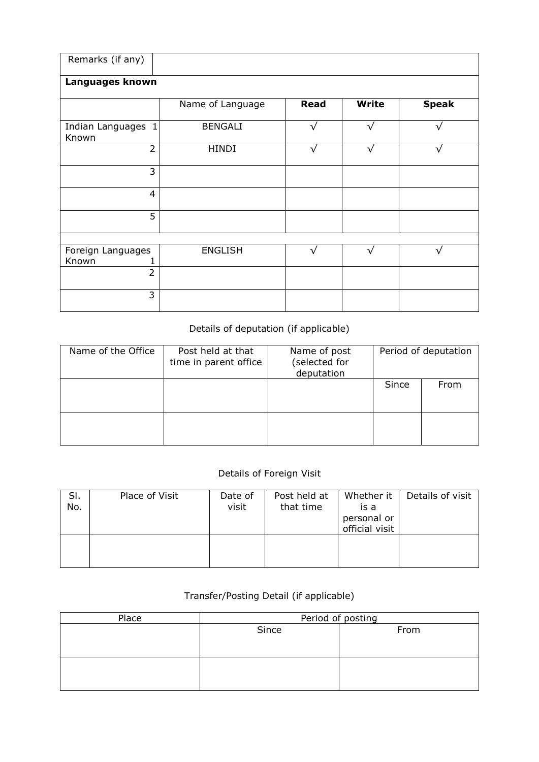| Remarks (if any)            |                  |             |              |              |
|-----------------------------|------------------|-------------|--------------|--------------|
| Languages known             |                  |             |              |              |
|                             | Name of Language | <b>Read</b> | <b>Write</b> | <b>Speak</b> |
| Indian Languages 1<br>Known | <b>BENGALI</b>   |             | ٦1           |              |
| $\overline{2}$              | <b>HINDI</b>     | $\sqrt{ }$  | $\sqrt{}$    | √            |
| 3                           |                  |             |              |              |
| $\overline{4}$              |                  |             |              |              |
| 5                           |                  |             |              |              |
|                             |                  |             |              |              |
| Foreign Languages<br>Known  | <b>ENGLISH</b>   | $\sqrt{}$   | V            | v            |
| $\overline{2}$              |                  |             |              |              |
| 3                           |                  |             |              |              |

## Details of deputation (if applicable)

| Name of the Office | Post held at that<br>time in parent office | Name of post<br>(selected for<br>deputation |       | Period of deputation |
|--------------------|--------------------------------------------|---------------------------------------------|-------|----------------------|
|                    |                                            |                                             | Since | From                 |
|                    |                                            |                                             |       |                      |

## Details of Foreign Visit

| SI.<br>No. | Place of Visit | Date of<br>visit | Post held at<br>that time | Whether it<br>is a<br>personal or<br>official visit | Details of visit |
|------------|----------------|------------------|---------------------------|-----------------------------------------------------|------------------|
|            |                |                  |                           |                                                     |                  |

## Transfer/Posting Detail (if applicable)

| Place | Period of posting |      |  |  |  |  |
|-------|-------------------|------|--|--|--|--|
|       | Since             | From |  |  |  |  |
|       |                   |      |  |  |  |  |
|       |                   |      |  |  |  |  |
|       |                   |      |  |  |  |  |
|       |                   |      |  |  |  |  |
|       |                   |      |  |  |  |  |